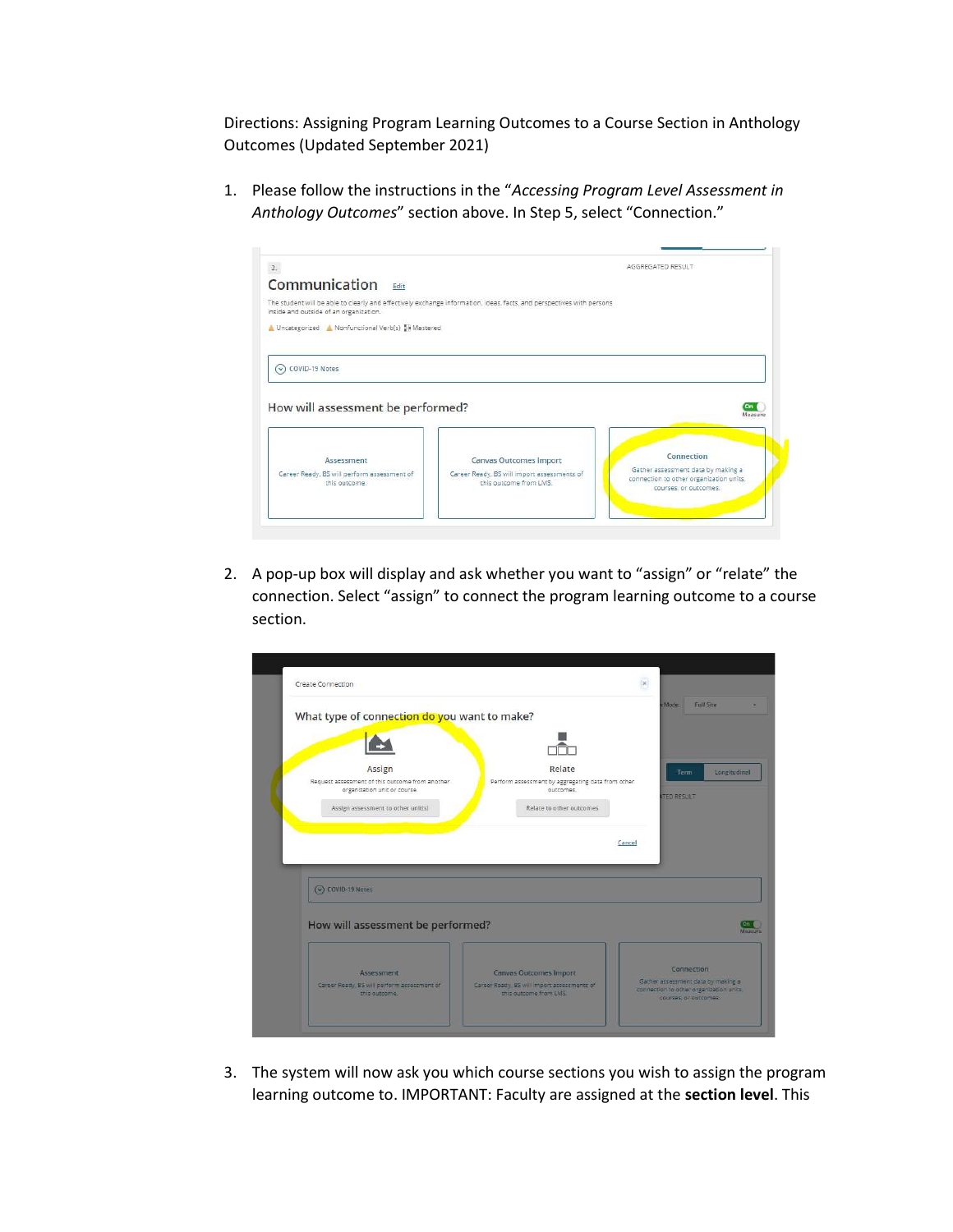Directions: Assigning Program Learning Outcomes to a Course Section in Anthology Outcomes (Updated September 2021)

1. Please follow the instructions in the "Accessing Program Level Assessment in Anthology Outcomes" section above. In Step 5, select "Connection."



2. A pop-up box will display and ask whether you want to "assign" or "relate" the connection. Select "assign" to connect the program learning outcome to a course section.

| Create Connection                                                               |                                                                      |                                                                                                        |
|---------------------------------------------------------------------------------|----------------------------------------------------------------------|--------------------------------------------------------------------------------------------------------|
| What type of connection do you want to make?                                    |                                                                      | <b>Full Site</b><br>/Mode:                                                                             |
|                                                                                 |                                                                      |                                                                                                        |
|                                                                                 |                                                                      |                                                                                                        |
| Assign                                                                          | Relate                                                               | Term<br>Longitudinal                                                                                   |
| Request assessment of this outcome from another<br>organization unit or course. | Perform assessment by aggregating data from other<br>outcomes.       |                                                                                                        |
|                                                                                 |                                                                      | <b>ITED RESULT</b>                                                                                     |
|                                                                                 |                                                                      |                                                                                                        |
| Assign assessment to other unit(s)                                              | Relate to other outcomes                                             |                                                                                                        |
|                                                                                 |                                                                      |                                                                                                        |
|                                                                                 |                                                                      |                                                                                                        |
|                                                                                 |                                                                      | Cancel                                                                                                 |
|                                                                                 |                                                                      |                                                                                                        |
|                                                                                 |                                                                      |                                                                                                        |
| C COVID-19 Notes                                                                |                                                                      |                                                                                                        |
|                                                                                 |                                                                      |                                                                                                        |
|                                                                                 |                                                                      |                                                                                                        |
| How will assessment be performed?                                               |                                                                      |                                                                                                        |
|                                                                                 |                                                                      |                                                                                                        |
|                                                                                 |                                                                      |                                                                                                        |
|                                                                                 |                                                                      | Connection                                                                                             |
| Assessment                                                                      | Canvas Outcomes Import                                               |                                                                                                        |
| Career Ready, BS will perform assessment of<br>this outcome.                    | Career Ready, BS will import assessments of<br>this outcome from LMS | Gather assessment data by making a<br>connection to other dreanization units.<br>courses, or outcomes. |

3. The system will now ask you which course sections you wish to assign the program learning outcome to. IMPORTANT: Faculty are assigned at the section level. This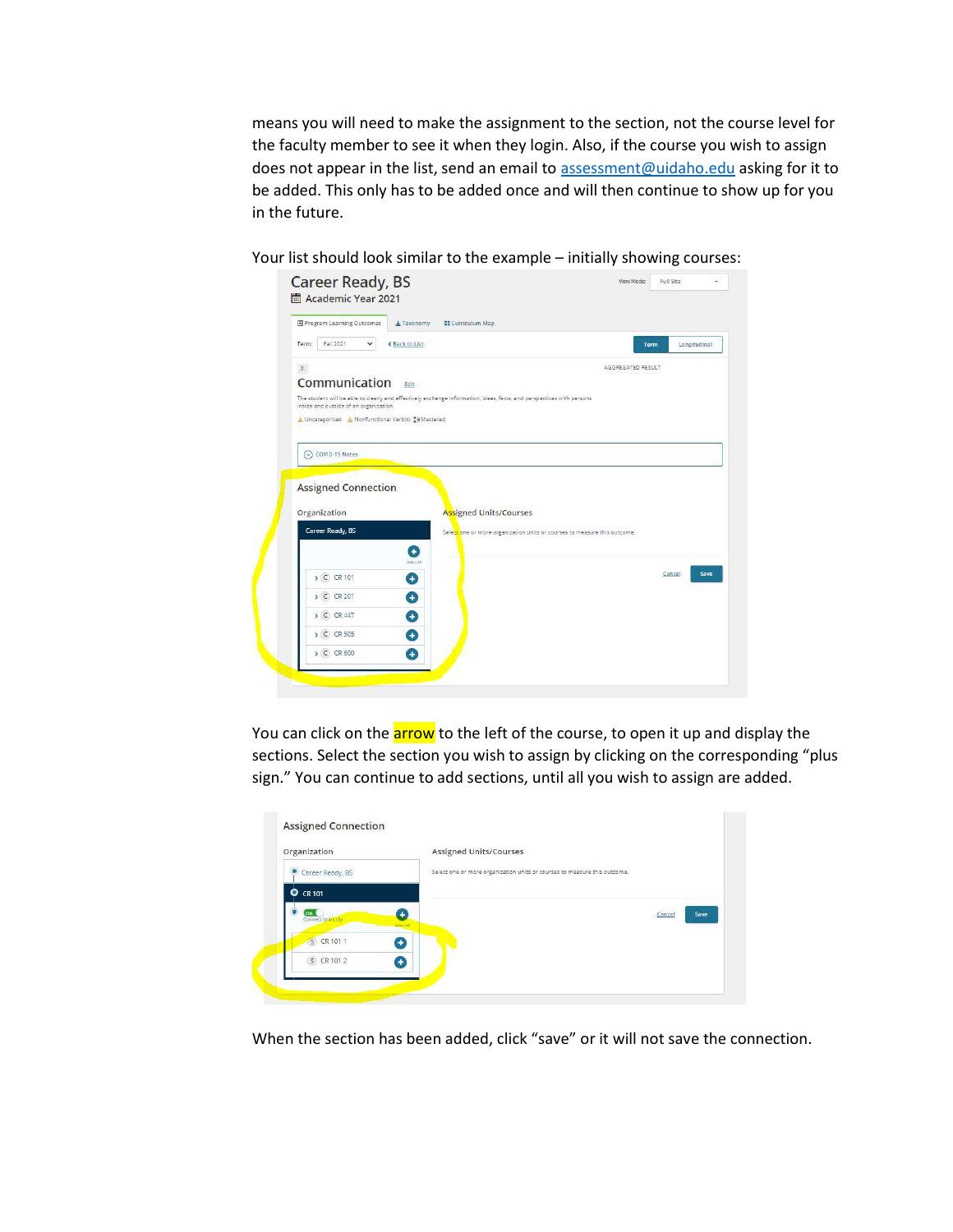means you will need to make the assignment to the section, not the course level for the faculty member to see it when they login. Also, if the course you wish to assign does not appear in the list, send an email to assessment@uidaho.edu asking for it to be added. This only has to be added once and will then continue to show up for you in the future.

Your list should look similar to the example – initially showing courses:

| 图 Program Learning Outcomes                      | A Taxonomy<br><b>##</b> Curriculum Map                                                                                |                                                                           |
|--------------------------------------------------|-----------------------------------------------------------------------------------------------------------------------|---------------------------------------------------------------------------|
| Fall 2021<br>Term:<br>$\checkmark$               | <b>≮ Back to List</b>                                                                                                 | Term<br>Longitudinal                                                      |
| 2.                                               |                                                                                                                       | AGGREGATED RESULT                                                         |
| Communication                                    | Edit                                                                                                                  |                                                                           |
| inside and outside of an organization.           | The student will be able to clearly and effectively exchange information, ideas, facts, and perspectives with persons |                                                                           |
| △ Uncategorized ▲ Nonfunctional Verb(s) Wastered |                                                                                                                       |                                                                           |
|                                                  |                                                                                                                       |                                                                           |
|                                                  |                                                                                                                       |                                                                           |
|                                                  |                                                                                                                       |                                                                           |
| C COVID-19 Notes                                 |                                                                                                                       |                                                                           |
|                                                  |                                                                                                                       |                                                                           |
| <b>Assigned Connection</b>                       |                                                                                                                       |                                                                           |
| Organization                                     | Assigned Units/Courses                                                                                                |                                                                           |
| Career Ready, BS                                 |                                                                                                                       | Selectione or more organization units or courses to measure this outcome. |
|                                                  |                                                                                                                       |                                                                           |
|                                                  | Ð<br>Select All                                                                                                       |                                                                           |
| > C CR 101                                       | o                                                                                                                     | Cancel                                                                    |
| > C CR 201                                       | ۵                                                                                                                     |                                                                           |
| > C CR 447                                       |                                                                                                                       |                                                                           |
| > C CR 505                                       | O<br>Ŧ                                                                                                                |                                                                           |

You can click on the **arrow** to the left of the course, to open it up and display the sections. Select the section you wish to assign by clicking on the corresponding "plus sign." You can continue to add sections, until all you wish to assign are added.

| Organization             | <b>Assigned Units/Courses</b>                                             |                |
|--------------------------|---------------------------------------------------------------------------|----------------|
| Career Ready, BS         | Select one or more organization units or courses to measure this outcome. |                |
| $O$ CR 101               |                                                                           |                |
| On U<br>Connect Units Up | ÷<br>Select All                                                           | Save<br>Cancel |
| S CR 101 1<br>8          |                                                                           |                |
| S CR 101 2<br>Ð          |                                                                           |                |

When the section has been added, click "save" or it will not save the connection.